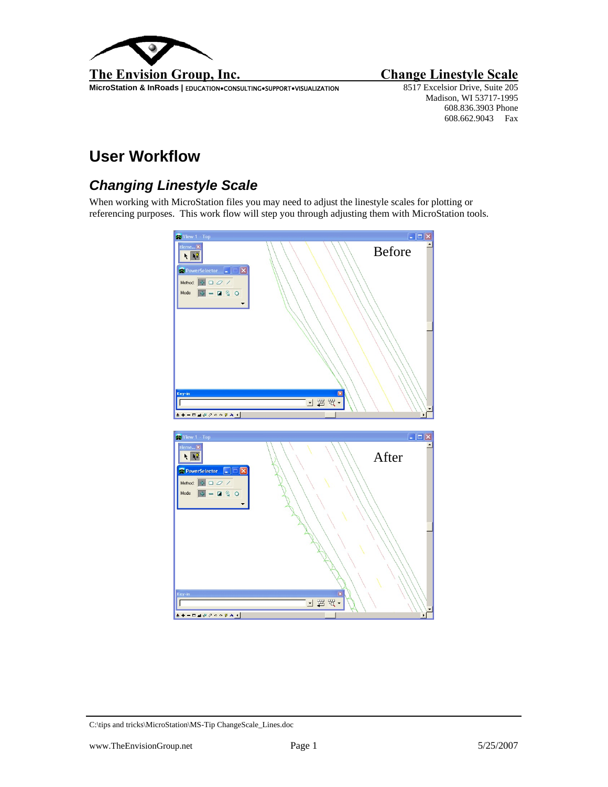

**MicroStation & InRoads | EDUCATION•CONSULTING•SUPPORT•VISUALIZATION** 

Madison, WI 53717-1995 608.836.3903 Phone 608.662.9043 Fax

## **User Workflow**

## *Changing Linestyle Scale*

When working with MicroStation files you may need to adjust the linestyle scales for plotting or referencing purposes. This work flow will step you through adjusting them with MicroStation tools.



C:\tips and tricks\MicroStation\MS-Tip ChangeScale\_Lines.doc